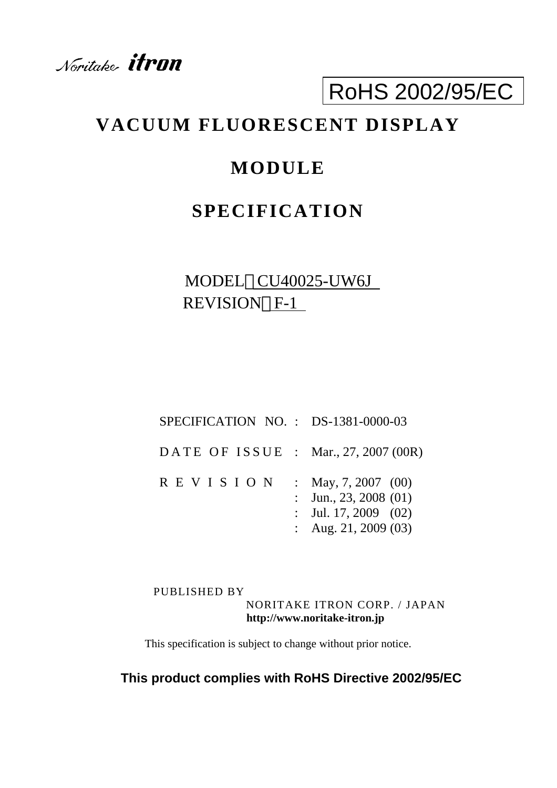Noritake **itron** 

# RoHS 2002/95/EC

## **VACUUM FLUORESCENT DISPLAY**

## **MODULE**

## **SPECIFICATION**

## MODEL CU40025-UW6J REVISION F-1

| $SPECTFICATION NO. : DS-1381-0000-03$ |                                                                                                  |
|---------------------------------------|--------------------------------------------------------------------------------------------------|
| DATE OF ISSUE : Mar., 27, 2007 (00R)  |                                                                                                  |
| R E V I S I O N                       | : May, 7, 2007 (00)<br>: Jun., 23, 2008 $(01)$<br>: Jul. 17, 2009 $(02)$<br>: Aug. 21, 2009 (03) |

PUBLISHED BY NORITAKE ITRON CORP. / JAPAN **http://www.noritake-itron.jp**

This specification is subject to change without prior notice.

### **This product complies with RoHS Directive 2002/95/EC**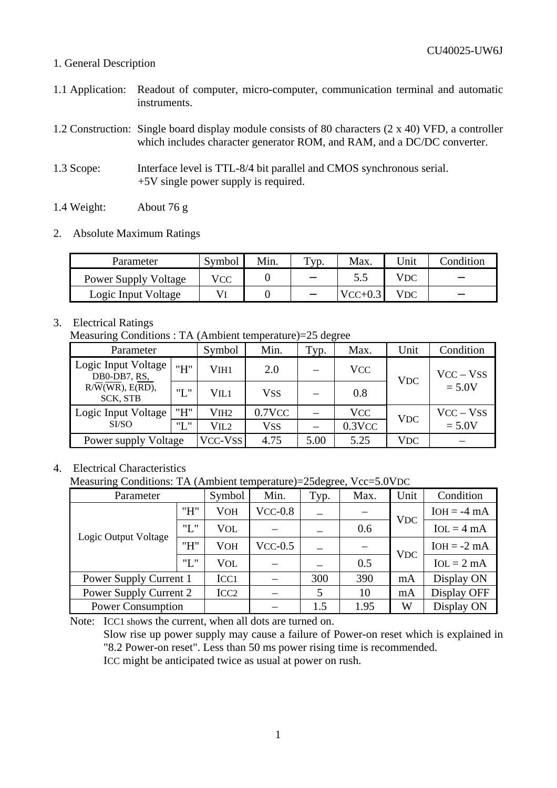#### 1. General Description

- 1.1 Application: Readout of computer, micro-computer, communication terminal and automatic instruments.
- 1.2 Construction: Single board display module consists of 80 characters (2 x 40) VFD, a controller which includes character generator ROM, and RAM, and a DC/DC converter.
- 1.3 Scope: Interface level is TTL-8/4 bit parallel and CMOS synchronous serial. +5V single power supply is required.
- 1.4 Weight: About 76 g
- 2. Absolute Maximum Ratings

| Parameter                   | Symbol | Min. | $T_{\rm VP.}$ | Max.      | "Init | Condition |
|-----------------------------|--------|------|---------------|-----------|-------|-----------|
| <b>Power Supply Voltage</b> | VCC    |      |               | 5.5       | VDC   |           |
| Logic Input Voltage         |        |      |               | $VCC+0.3$ | VDC   |           |

### 3. Electrical Ratings

Measuring Conditions : TA (Ambient temperature)=25 degree

| Parameter                                 |         | Symbol           | Min.       | $\tau_{yp.}$ | Max.       | Unit       | Condition   |  |
|-------------------------------------------|---------|------------------|------------|--------------|------------|------------|-------------|--|
| Logic Input Voltage<br>DB0-DB7, RS,       | "H"     | V <sub>IH1</sub> | 2.0        |              | <b>VCC</b> | <b>VDC</b> | $VCC - VSS$ |  |
| $R/\overline{W}(WR)$ , E(RD),<br>SCK, STB | "L"     | VII1             | <b>VSS</b> |              | 0.8        |            | $= 5.0V$    |  |
| Logic Input Voltage                       | "H"     | VIH <sub>2</sub> | $0.7$ VCC  |              | <b>VCC</b> | <b>VDC</b> | $VCC - VSS$ |  |
| SI/SO                                     | "L"     | VIL2             | <b>VSS</b> |              | $0.3$ VCC  |            | $= 5.0V$    |  |
| Power supply Voltage                      | VCC-VSS | 4.75             | 5.00       | 5.25         | <b>VDC</b> |            |             |  |

#### 4. Electrical Characteristics

Measuring Conditions: TA (Ambient temperature)=25degree, Vcc=5.0VDC

| Parameter                | Symbol           | Min.       | Typ.      | Max. | Unit | Condition   |               |
|--------------------------|------------------|------------|-----------|------|------|-------------|---------------|
|                          | "H"              | <b>VOH</b> | $VCC-0.8$ |      |      | <b>VDC</b>  | $IOH = -4 mA$ |
| Logic Output Voltage     | "L"              | VOL        |           |      | 0.6  |             | $IoL = 4 mA$  |
|                          | "H"              | <b>VOH</b> | $VCC-0.5$ |      |      | <b>VDC</b>  | $IOH = -2 mA$ |
|                          | "L"              | VOL        |           |      | 0.5  |             | $IoL = 2 mA$  |
| Power Supply Current 1   | ICC <sub>1</sub> |            | 300       | 390  | mA   | Display ON  |               |
| Power Supply Current 2   | ICC <sub>2</sub> |            | 5         | 10   | mA   | Display OFF |               |
| <b>Power Consumption</b> |                  |            |           | 1.5  | 1.95 | W           | Display ON    |

Note: ICC1 shows the current, when all dots are turned on.

Slow rise up power supply may cause a failure of Power-on reset which is explained in "8.2 Power-on reset". Less than 50 ms power rising time is recommended. ICC might be anticipated twice as usual at power on rush.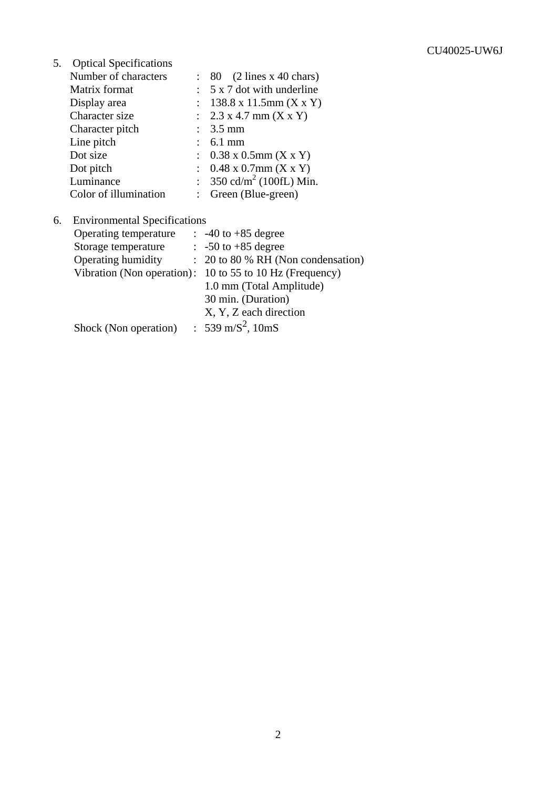5. Optical Specifications

| Number of characters  | $\therefore$ 80 (2 lines x 40 chars)                        |
|-----------------------|-------------------------------------------------------------|
| Matrix format         | $5 \times 7$ dot with underline                             |
| Display area          | $138.8 \times 11.5$ mm (X x Y)<br>$\mathbb{R}^{\mathbb{Z}}$ |
| Character size        | : $2.3 \times 4.7 \text{ mm} (X \times Y)$                  |
| Character pitch       | : $3.5 \text{ mm}$                                          |
| Line pitch            | $: 6.1 \text{ mm}$                                          |
| Dot size              | : $0.38 \times 0.5$ mm (X x Y)                              |
| Dot pitch             | : $0.48 \times 0.7$ mm $(X \times Y)$                       |
| Luminance             | : 350 cd/m <sup>2</sup> (100fL) Min.                        |
| Color of illumination | : Green (Blue-green)                                        |

| 6. Environmental Specifications |                                               |
|---------------------------------|-----------------------------------------------|
| Operating temperature           | $\therefore$ -40 to +85 degree                |
| Storage temperature             | $\therefore$ -50 to +85 degree                |
| Operating humidity              | $\therefore$ 20 to 80 % RH (Non condensation) |
| Vibration (Non operation):      | 10 to 55 to 10 Hz (Frequency)                 |
|                                 | 1.0 mm (Total Amplitude)                      |
|                                 | 30 min. (Duration)                            |
|                                 | X, Y, Z each direction                        |
| Shock (Non operation)           | : 539 m/S <sup>2</sup> , 10mS                 |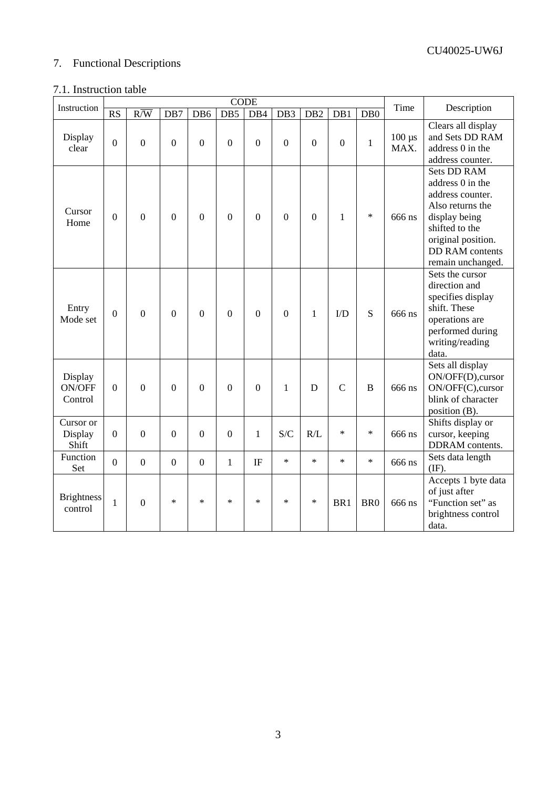### 7. Functional Descriptions

### 7.1. Instruction table

|                                     |                | <b>CODE</b>      |                  |                  |                  |                |                 |                 |                |                  |                     |                                                                                                                                                                                        |
|-------------------------------------|----------------|------------------|------------------|------------------|------------------|----------------|-----------------|-----------------|----------------|------------------|---------------------|----------------------------------------------------------------------------------------------------------------------------------------------------------------------------------------|
| Instruction                         | <b>RS</b>      | $R/\overline{W}$ | DB7              | DB6              | DB5              | DB4            | DB <sub>3</sub> | DB <sub>2</sub> | DB1            | D <sub>B</sub> 0 | Time                | Description                                                                                                                                                                            |
| Display<br>clear                    | $\overline{0}$ | $\mathbf{0}$     | $\mathbf{0}$     | $\boldsymbol{0}$ | $\boldsymbol{0}$ | $\overline{0}$ | $\overline{0}$  | $\mathbf{0}$    | $\overline{0}$ | $\mathbf{1}$     | $100 \mu s$<br>MAX. | Clears all display<br>and Sets DD RAM<br>address 0 in the<br>address counter.                                                                                                          |
| Cursor<br>Home                      | 0              | $\boldsymbol{0}$ | $\mathbf{0}$     | $\overline{0}$   | $\boldsymbol{0}$ | $\overline{0}$ | $\mathbf{0}$    | $\overline{0}$  | 1              | $\ast$           | 666 ns              | <b>Sets DD RAM</b><br>address 0 in the<br>address counter.<br>Also returns the<br>display being<br>shifted to the<br>original position.<br><b>DD RAM</b> contents<br>remain unchanged. |
| Entry<br>Mode set                   | $\overline{0}$ | $\overline{0}$   | $\overline{0}$   | $\overline{0}$   | $\overline{0}$   | $\overline{0}$ | $\overline{0}$  | $\mathbf{1}$    | $\rm{ID}$      | S                | 666 ns              | Sets the cursor<br>direction and<br>specifies display<br>shift. These<br>operations are<br>performed during<br>writing/reading<br>data.                                                |
| Display<br><b>ON/OFF</b><br>Control | $\overline{0}$ | $\overline{0}$   | $\overline{0}$   | $\overline{0}$   | $\overline{0}$   | $\overline{0}$ | $\mathbf{1}$    | D               | $\overline{C}$ | $\overline{B}$   | 666 ns              | Sets all display<br>ON/OFF(D),cursor<br>ON/OFF(C),cursor<br>blink of character<br>position (B).                                                                                        |
| Cursor or<br>Display<br>Shift       | $\mathbf{0}$   | $\mathbf{0}$     | $\overline{0}$   | $\overline{0}$   | $\boldsymbol{0}$ | $\mathbf{1}$   | S/C             | R/L             | $\ast$         | $\ast$           | 666 ns              | Shifts display or<br>cursor, keeping<br>DDRAM contents.                                                                                                                                |
| Function<br>Set                     | $\overline{0}$ | $\boldsymbol{0}$ | $\boldsymbol{0}$ | $\boldsymbol{0}$ | $\mathbf{1}$     | IF             | $\ast$          | $\ast$          | $\ast$         | $\ast$           | 666 ns              | Sets data length<br>$(\mathrm{IF}).$                                                                                                                                                   |
| <b>Brightness</b><br>control        | $\mathbf{1}$   | $\overline{0}$   | $\star$          | $\ast$           | $\star$          | $\star$        | $\ast$          | $\ast$          | BR1            | BR <sub>0</sub>  | 666 ns              | Accepts 1 byte data<br>of just after<br>"Function set" as<br>brightness control<br>data.                                                                                               |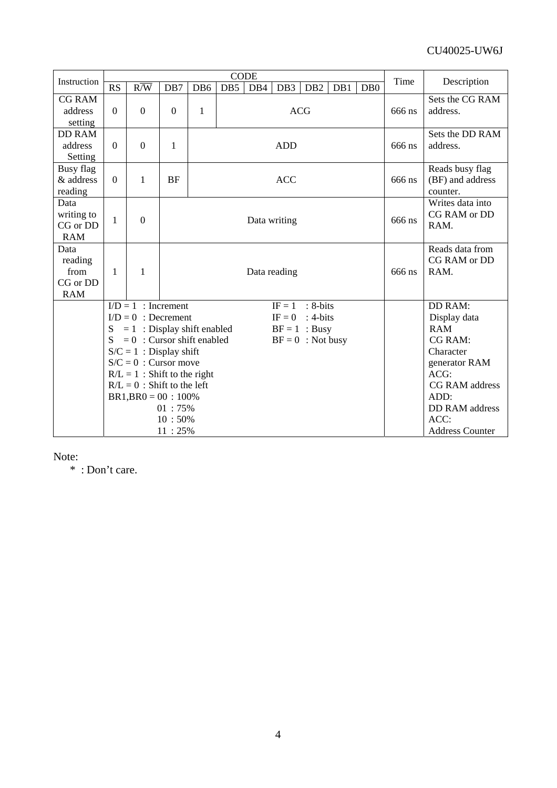| Instruction                                       |                  |                                                      |                  |              |            | <b>CODE</b>  |                 | Time                                            | Description |        |                                                 |
|---------------------------------------------------|------------------|------------------------------------------------------|------------------|--------------|------------|--------------|-----------------|-------------------------------------------------|-------------|--------|-------------------------------------------------|
|                                                   | RS               | $R/\overline{W}$                                     | DB7              | DB6          | DB5        | DB4          | DB <sub>3</sub> | DB <sub>2</sub>                                 | DB0<br>DB1  |        |                                                 |
| <b>CG RAM</b><br>address<br>setting               | $\boldsymbol{0}$ | $\overline{0}$                                       | $\boldsymbol{0}$ | $\mathbf{1}$ | <b>ACG</b> |              |                 |                                                 |             | 666 ns | Sets the CG RAM<br>address.                     |
| <b>DD RAM</b><br>address<br>Setting               | $\mathbf{0}$     | $\overline{0}$                                       | $\mathbf{1}$     |              | <b>ADD</b> |              |                 |                                                 |             |        | Sets the DD RAM<br>address.                     |
| Busy flag<br>& address<br>reading                 | $\theta$         | 1                                                    | <b>BF</b>        |              | <b>ACC</b> |              |                 |                                                 |             |        | Reads busy flag<br>(BF) and address<br>counter. |
| Data<br>writing to<br>CG or DD<br><b>RAM</b>      | $\mathbf{1}$     | $\overline{0}$                                       |                  |              |            | Data writing | 666 ns          | Writes data into<br><b>CG RAM</b> or DD<br>RAM. |             |        |                                                 |
| Data<br>reading<br>from<br>CG or DD<br><b>RAM</b> | 1                | 1                                                    |                  | Data reading |            |              |                 |                                                 |             |        | Reads data from<br>CG RAM or DD<br>RAM.         |
|                                                   |                  | $I/D = 1$ : Increment                                |                  |              |            |              | $IF = 1$        | : 8-bits                                        |             |        | <b>DD RAM:</b>                                  |
|                                                   |                  | $I/D = 0$ : Decrement                                |                  |              |            |              | $IF = 0$        | $: 4-bits$                                      |             |        | Display data                                    |
|                                                   |                  | $= 1$ : Display shift enabled                        |                  |              |            |              |                 | $BF = 1$ : Busy                                 |             |        | <b>RAM</b>                                      |
|                                                   | S                | $= 0$ : Cursor shift enabled                         |                  |              |            |              |                 | $BF = 0$ : Not busy                             |             |        | <b>CG RAM:</b>                                  |
|                                                   |                  | $S/C = 1$ : Display shift<br>$S/C = 0$ : Cursor move |                  |              |            |              |                 |                                                 |             |        | Character                                       |
|                                                   |                  | $R/L = 1$ : Shift to the right                       |                  |              |            |              |                 |                                                 |             |        | generator RAM<br>$ACG$ :                        |
|                                                   |                  | $R/L = 0$ : Shift to the left                        |                  |              |            |              |                 | CG RAM address                                  |             |        |                                                 |
|                                                   |                  | $BR1, BR0 = 00 : 100\%$                              |                  |              |            |              |                 |                                                 |             |        | ADD:                                            |
|                                                   |                  |                                                      | 01:75%           |              |            |              |                 | DD RAM address                                  |             |        |                                                 |
|                                                   |                  | 10:50%                                               |                  |              |            |              |                 |                                                 |             |        | ACC:                                            |
|                                                   |                  |                                                      | 11:25%           |              |            |              |                 | <b>Address Counter</b>                          |             |        |                                                 |

Note:

\* : Don't care.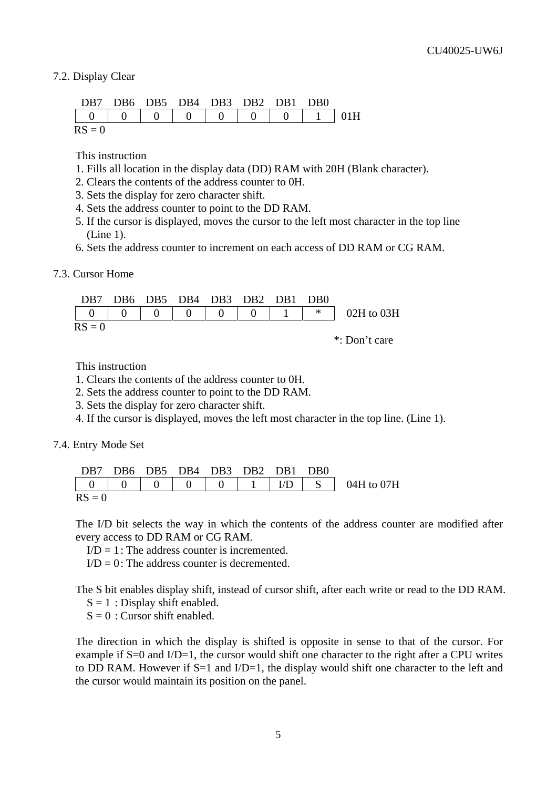#### 7.2. Display Clear

|          | DB7 DB6 DB5 DB4 DB3 DB2 DB1 DB0 |  |  |  |
|----------|---------------------------------|--|--|--|
|          |                                 |  |  |  |
| $RS = 0$ |                                 |  |  |  |

This instruction

- 1. Fills all location in the display data (DD) RAM with 20H (Blank character).
- 2. Clears the contents of the address counter to 0H.
- 3. Sets the display for zero character shift.
- 4. Sets the address counter to point to the DD RAM.
- 5. If the cursor is displayed, moves the cursor to the left most character in the top line (Line 1).
- 6. Sets the address counter to increment on each access of DD RAM or CG RAM.

7.3. Cursor Home

|          | DB7 DB6 DB5 DB4 DB3 DB2 DB1 DB0 |          |                                    |  |                                                                                          |
|----------|---------------------------------|----------|------------------------------------|--|------------------------------------------------------------------------------------------|
|          |                                 | $\Omega$ | $\begin{array}{ccc} \n\end{array}$ |  | $\begin{array}{ c c c c c c } \hline 0 & 1 & * & 02H \text{ to } 03H \hline \end{array}$ |
| $RS = 0$ |                                 |          |                                    |  |                                                                                          |
|          |                                 |          |                                    |  | *: Don't care                                                                            |

This instruction

- 1. Clears the contents of the address counter to 0H.
- 2. Sets the address counter to point to the DD RAM.
- 3. Sets the display for zero character shift.
- 4. If the cursor is displayed, moves the left most character in the top line. (Line 1).

7.4. Entry Mode Set

|          | DB7 DB6 DB5 DB4 DB3 DB2 DB1 DB0 |  |  |  |
|----------|---------------------------------|--|--|--|
|          |                                 |  |  |  |
| $RS = 0$ |                                 |  |  |  |

The I/D bit selects the way in which the contents of the address counter are modified after every access to DD RAM or CG RAM.

 $I/D = 1$ : The address counter is incremented.

 $I/D = 0$ : The address counter is decremented.

The S bit enables display shift, instead of cursor shift, after each write or read to the DD RAM.

 $S = 1$ : Display shift enabled.

 $S = 0$ : Cursor shift enabled.

The direction in which the display is shifted is opposite in sense to that of the cursor. For example if S=0 and I/D=1, the cursor would shift one character to the right after a CPU writes to DD RAM. However if  $S=1$  and  $I/D=1$ , the display would shift one character to the left and the cursor would maintain its position on the panel.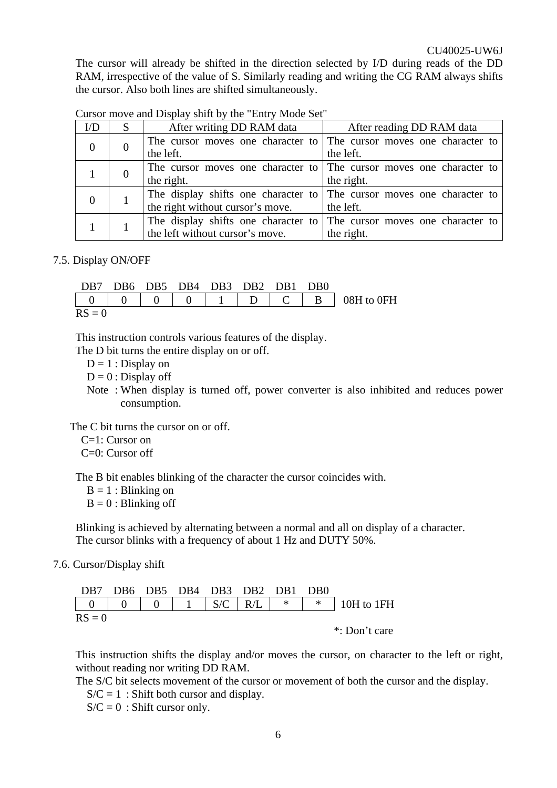The cursor will already be shifted in the direction selected by I/D during reads of the DD RAM, irrespective of the value of S. Similarly reading and writing the CG RAM always shifts the cursor. Also both lines are shifted simultaneously.

| $\rm{UD}$ |          | After writing DD RAM data                                             | After reading DD RAM data |  |  |  |  |
|-----------|----------|-----------------------------------------------------------------------|---------------------------|--|--|--|--|
|           | $\theta$ | The cursor moves one character to The cursor moves one character to   |                           |  |  |  |  |
|           |          | the left.                                                             | the left.                 |  |  |  |  |
|           | $\theta$ | The cursor moves one character to The cursor moves one character to   |                           |  |  |  |  |
|           |          | the right.                                                            | the right.                |  |  |  |  |
|           |          | The display shifts one character to The cursor moves one character to |                           |  |  |  |  |
|           |          | the right without cursor's move.                                      | the left.                 |  |  |  |  |
|           |          | The display shifts one character to The cursor moves one character to |                           |  |  |  |  |
|           |          | the left without cursor's move.                                       | the right.                |  |  |  |  |

Cursor move and Display shift by the "Entry Mode Set"

7.5. Display ON/OFF

|          |  | DB7 DB6 DB5 DB4 DB3 DB2 DB1 DB0 |  |  |  |
|----------|--|---------------------------------|--|--|--|
|          |  |                                 |  |  |  |
| $RS = 0$ |  |                                 |  |  |  |

This instruction controls various features of the display.

The D bit turns the entire display on or off.

 $D = 1$ : Display on

 $D = 0$ : Display off

Note : When display is turned off, power converter is also inhibited and reduces power consumption.

The C bit turns the cursor on or off.

C=1: Cursor on

C=0: Cursor off

The B bit enables blinking of the character the cursor coincides with.

 $B = 1$ : Blinking on

 $B = 0$ : Blinking off

Blinking is achieved by alternating between a normal and all on display of a character. The cursor blinks with a frequency of about 1 Hz and DUTY 50%.

7.6. Cursor/Display shift

| DB7 DB6 DB5 DB4 DB3 DB2 DB1 DB0 |  |  |  |                                                                 |
|---------------------------------|--|--|--|-----------------------------------------------------------------|
|                                 |  |  |  |                                                                 |
| $RS = 0$                        |  |  |  | $\mathbf{x} \cdot \mathbf{D}$ and $\mathbf{y} \cdot \mathbf{D}$ |

\*: Don't care

This instruction shifts the display and/or moves the cursor, on character to the left or right, without reading nor writing DD RAM.

The S/C bit selects movement of the cursor or movement of both the cursor and the display.

 $S/C = 1$ : Shift both cursor and display.

 $S/C = 0$ : Shift cursor only.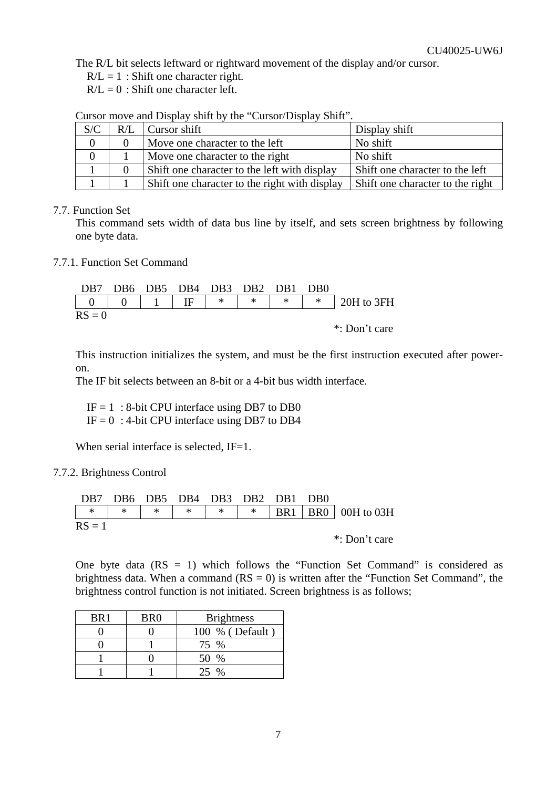The R/L bit selects leftward or rightward movement of the display and/or cursor.

 $R/L = 1$ : Shift one character right.

 $R/L = 0$ : Shift one character left.

Cursor move and Display shift by the "Cursor/Display Shift".

| S/C | $R/L$ Cursor shift                            | Display shift                    |
|-----|-----------------------------------------------|----------------------------------|
|     | Move one character to the left                | No shift                         |
|     | Move one character to the right               | No shift                         |
|     | Shift one character to the left with display  | Shift one character to the left  |
|     | Shift one character to the right with display | Shift one character to the right |

#### 7.7. Function Set

This command sets width of data bus line by itself, and sets screen brightness by following one byte data.

#### 7.7.1. Function Set Command

DB7 DB6 DB5 DB4 DB3 DB2 DB1 DB0 0 0 1 IF \* \* \* \* 20H to 3FH  $RS = 0$ 

\*: Don't care

This instruction initializes the system, and must be the first instruction executed after poweron.

The IF bit selects between an 8-bit or a 4-bit bus width interface.

 $IF = 1$ : 8-bit CPU interface using DB7 to DB0

 $IF = 0$ : 4-bit CPU interface using DB7 to DB4

When serial interface is selected,  $IF=1$ .

#### 7.7.2. Brightness Control

| DB7 DB6 DB5 DB4 DB3 DB2 DB1 DB0 |  |  |  |  |
|---------------------------------|--|--|--|--|
|                                 |  |  |  |  |
| $RS = 1$                        |  |  |  |  |

\*: Don't care

One byte data  $(RS = 1)$  which follows the "Function Set Command" is considered as brightness data. When a command  $(RS = 0)$  is written after the "Function Set Command", the brightness control function is not initiated. Screen brightness is as follows;

| BR <sub>1</sub> | BR <sub>0</sub> | <b>Brightness</b> |
|-----------------|-----------------|-------------------|
|                 |                 | 100 % (Default)   |
|                 |                 | 75 %              |
|                 |                 | 50 %              |
|                 |                 |                   |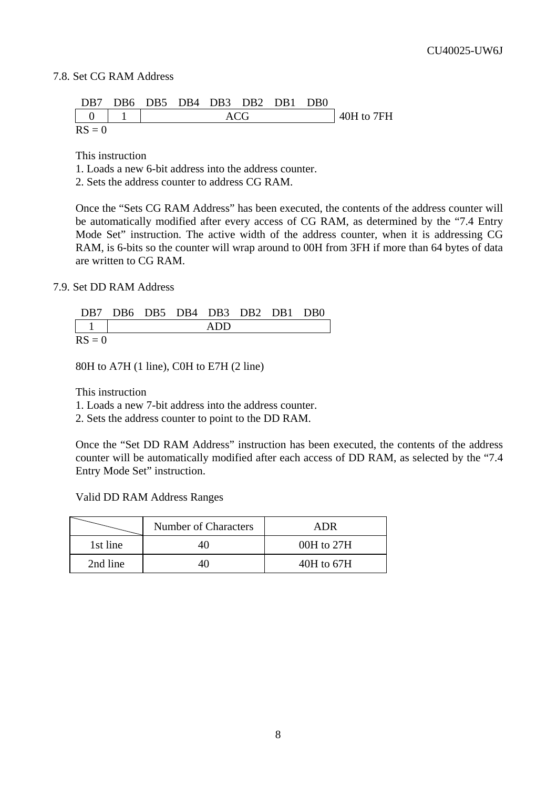#### 7.8. Set CG RAM Address

|          |  |  | DB7 DB6 DB5 DB4 DB3 DB2 DB1 DB0 |  |            |
|----------|--|--|---------------------------------|--|------------|
|          |  |  | ACG                             |  | 40H to 7FH |
| $RS = 0$ |  |  |                                 |  |            |

This instruction

1. Loads a new 6-bit address into the address counter.

2. Sets the address counter to address CG RAM.

Once the "Sets CG RAM Address" has been executed, the contents of the address counter will be automatically modified after every access of CG RAM, as determined by the "7.4 Entry Mode Set" instruction. The active width of the address counter, when it is addressing CG RAM, is 6-bits so the counter will wrap around to 00H from 3FH if more than 64 bytes of data are written to CG RAM.

7.9. Set DD RAM Address

|          |  | DB7 DB6 DB5 DB4 DB3 DB2 DB1 DB0 |     |  |  |
|----------|--|---------------------------------|-----|--|--|
|          |  |                                 | ADD |  |  |
| $RS = 0$ |  |                                 |     |  |  |

80H to A7H (1 line), C0H to E7H (2 line)

This instruction

1. Loads a new 7-bit address into the address counter.

2. Sets the address counter to point to the DD RAM.

Once the "Set DD RAM Address" instruction has been executed, the contents of the address counter will be automatically modified after each access of DD RAM, as selected by the "7.4 Entry Mode Set" instruction.

Valid DD RAM Address Ranges

|          | Number of Characters | <b>ADR</b> |
|----------|----------------------|------------|
| 1st line |                      | 00H to 27H |
| 2nd line |                      | 40H to 67H |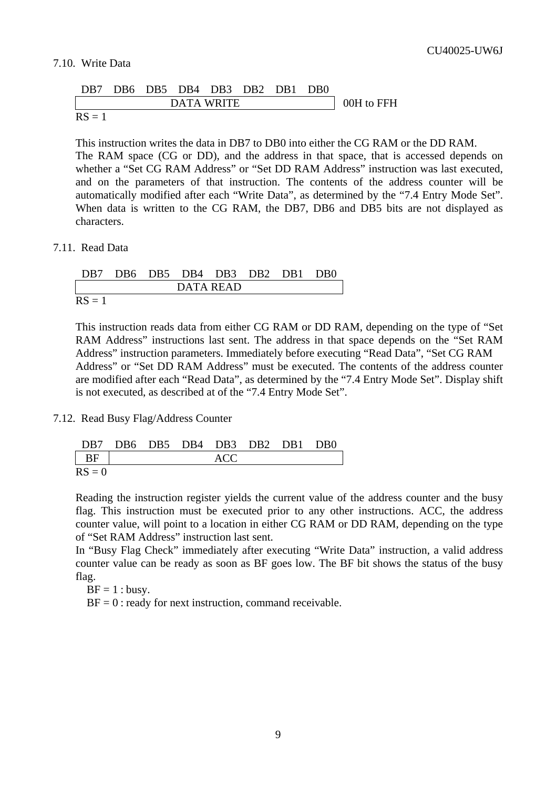#### 7.10. Write Data

|        |  |            | DB7 DB6 DB5 DB4 DB3 DB2 DB1 DB0 |  |            |
|--------|--|------------|---------------------------------|--|------------|
|        |  | DATA WRITE |                                 |  | 00H to FFH |
| $RS =$ |  |            |                                 |  |            |

This instruction writes the data in DB7 to DB0 into either the CG RAM or the DD RAM. The RAM space (CG or DD), and the address in that space, that is accessed depends on whether a "Set CG RAM Address" or "Set DD RAM Address" instruction was last executed, and on the parameters of that instruction. The contents of the address counter will be automatically modified after each "Write Data", as determined by the "7.4 Entry Mode Set". When data is written to the CG RAM, the DB7, DB6 and DB5 bits are not displayed as characters.

#### 7.11. Read Data

|          |  |           | DB7 DB6 DB5 DB4 DB3 DB2 DB1 DB0 |  |
|----------|--|-----------|---------------------------------|--|
|          |  | DATA READ |                                 |  |
| $RS = 1$ |  |           |                                 |  |

This instruction reads data from either CG RAM or DD RAM, depending on the type of "Set RAM Address" instructions last sent. The address in that space depends on the "Set RAM Address" instruction parameters. Immediately before executing "Read Data", "Set CG RAM Address" or "Set DD RAM Address" must be executed. The contents of the address counter are modified after each "Read Data", as determined by the "7.4 Entry Mode Set". Display shift is not executed, as described at of the "7.4 Entry Mode Set".

#### 7.12. Read Busy Flag/Address Counter

|          |  | DB7 DB6 DB5 DB4 DB3 DB2 DB1 DB0 |  |  |
|----------|--|---------------------------------|--|--|
| l BF     |  | ACC:                            |  |  |
| $RS = 0$ |  |                                 |  |  |

Reading the instruction register yields the current value of the address counter and the busy flag. This instruction must be executed prior to any other instructions. ACC, the address counter value, will point to a location in either CG RAM or DD RAM, depending on the type of "Set RAM Address" instruction last sent.

In "Busy Flag Check" immediately after executing "Write Data" instruction, a valid address counter value can be ready as soon as BF goes low. The BF bit shows the status of the busy flag.

 $BF = 1$  : busy.

 $BF = 0$ : ready for next instruction, command receivable.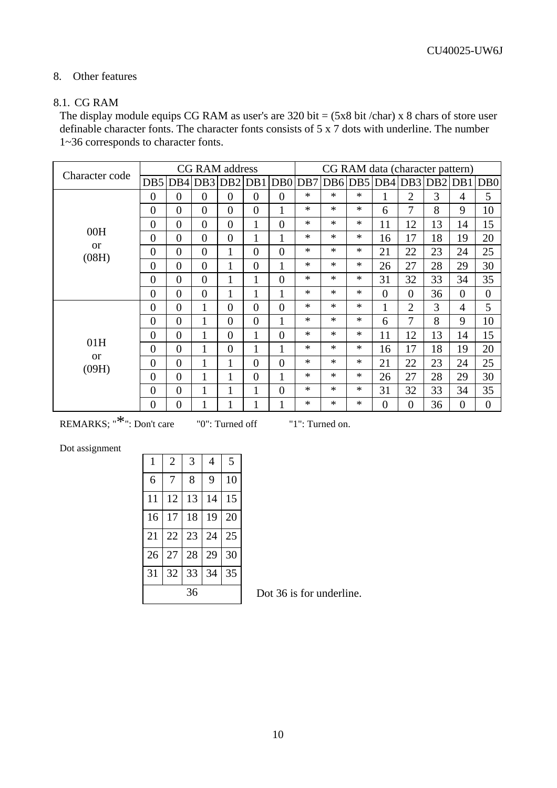#### 8. Other features

#### 8.1. CG RAM

The display module equips CG RAM as user's are bit = (5x8 bit /char) x 8 chars of store user definable character fonts. The character fonts consists of 5 x 7 dots with underline. The number 1~36 corresponds to character fonts.

| Character code     |                 |                 | <b>CG RAM</b> address |                |                |                | CG RAM data (character pattern) |        |         |                |                |         |                |                |
|--------------------|-----------------|-----------------|-----------------------|----------------|----------------|----------------|---------------------------------|--------|---------|----------------|----------------|---------|----------------|----------------|
|                    | DB <sub>5</sub> | DB <sub>4</sub> | DB3 DB2               |                | DB1            |                | DB0 DB7                         |        | DB6 DB5 | DB4            |                | DB3 DB2 |                | DB1 DB0        |
|                    | $\overline{0}$  | $\theta$        | $\theta$              | $\theta$       | $\Omega$       | $\overline{0}$ | $\ast$                          | $\ast$ | $\ast$  | 1              | $\overline{2}$ | 3       | $\overline{4}$ | 5              |
|                    | $\overline{0}$  | $\theta$        | $\theta$              | $\theta$       | $\overline{0}$ | $\mathbf{1}$   | $\ast$                          | $\ast$ | $*$     | 6              | $\overline{7}$ | 8       | 9              | 10             |
| 00H                | $\overline{0}$  | $\overline{0}$  | $\theta$              | $\overline{0}$ | 1              | $\overline{0}$ | $\ast$                          | $\ast$ | $\ast$  | 11             | 12             | 13      | 14             | 15             |
| <b>or</b>          | $\overline{0}$  | $\overline{0}$  | $\theta$              | $\overline{0}$ | 1              | $\mathbf{1}$   | $\ast$                          | $\ast$ | $\ast$  | 16             | 17             | 18      | 19             | 20             |
| (08H)              | $\overline{0}$  | $\theta$        | $\theta$              | $\mathbf{1}$   | $\theta$       | $\overline{0}$ | $\ast$                          | $\ast$ | $\ast$  | 21             | 22             | 23      | 24             | 25             |
|                    | $\overline{0}$  | $\theta$        | $\theta$              | $\mathbf{1}$   | $\theta$       | $\mathbf{1}$   | $\ast$                          | $\ast$ | $\ast$  | 26             | 27             | 28      | 29             | 30             |
|                    | $\overline{0}$  | $\overline{0}$  | $\overline{0}$        | $\mathbf{1}$   | 1              | $\overline{0}$ | $\ast$                          | $*$    | $\ast$  | 31             | 32             | 33      | 34             | 35             |
|                    | $\overline{0}$  | $\overline{0}$  | $\overline{0}$        | 1              |                | 1              | $\ast$                          | $\ast$ | $\ast$  | $\overline{0}$ | $\overline{0}$ | 36      | $\overline{0}$ | $\overline{0}$ |
|                    | $\overline{0}$  | $\overline{0}$  | 1                     | $\overline{0}$ | $\theta$       | $\overline{0}$ | $\ast$                          | $\ast$ | $\ast$  | 1              | $\overline{2}$ | 3       | $\overline{4}$ | 5              |
|                    | $\overline{0}$  | $\overline{0}$  | 1                     | $\overline{0}$ | $\overline{0}$ | $\mathbf{1}$   | $\ast$                          | $\ast$ | $\ast$  | 6              | $\overline{7}$ | 8       | 9              | 10             |
|                    | $\overline{0}$  | $\overline{0}$  | 1                     | $\overline{0}$ |                | $\overline{0}$ | $\ast$                          | $\ast$ | $\ast$  | 11             | 12             | 13      | 14             | 15             |
| 01H                | $\overline{0}$  | $\theta$        | $\mathbf{1}$          | $\overline{0}$ | $\mathbf{1}$   | $\mathbf{1}$   | $\ast$                          | $\ast$ | $\ast$  | 16             | 17             | 18      | 19             | 20             |
| <b>or</b><br>(09H) | $\overline{0}$  | $\overline{0}$  | 1                     | $\mathbf{1}$   | $\theta$       | $\overline{0}$ | $\ast$                          | $\ast$ | $\ast$  | 21             | 22             | 23      | 24             | 25             |
|                    | $\overline{0}$  | $\overline{0}$  | $\mathbf{1}$          | $\mathbf{1}$   | $\overline{0}$ | $\mathbf{1}$   | $\ast$                          | $\ast$ | $\ast$  | 26             | 27             | 28      | 29             | 30             |
|                    | $\overline{0}$  | $\theta$        | 1                     | $\mathbf{1}$   | $\mathbf{1}$   | $\overline{0}$ | $\ast$                          | $\ast$ | $\ast$  | 31             | 32             | 33      | 34             | 35             |
|                    | $\overline{0}$  | $\overline{0}$  | 1                     | 1              | 1              | $\mathbf{1}$   | $\ast$                          | $\ast$ | $\ast$  | $\theta$       | $\overline{0}$ | 36      | $\overline{0}$ | $\overline{0}$ |

REMARKS; "<sup>\*</sup>": Don't care "0": Turned off "1": Turned on.

Dot assignment

| $\mathbf{1}$ | $\overline{2}$ | 3  | $\overline{4}$ | 5  |  |  |  |
|--------------|----------------|----|----------------|----|--|--|--|
| 6            | 7              | 8  | 9              | 10 |  |  |  |
| 11           | 12             | 13 | 14             | 15 |  |  |  |
| 16           | 17             | 18 | 19             | 20 |  |  |  |
| 21           | 22             | 23 | 24             | 25 |  |  |  |
| 26           | 27             | 28 | 29             | 30 |  |  |  |
| 31           | 32             | 33 | 34             | 35 |  |  |  |
|              | 36             |    |                |    |  |  |  |

36 Dot 36 is for underline.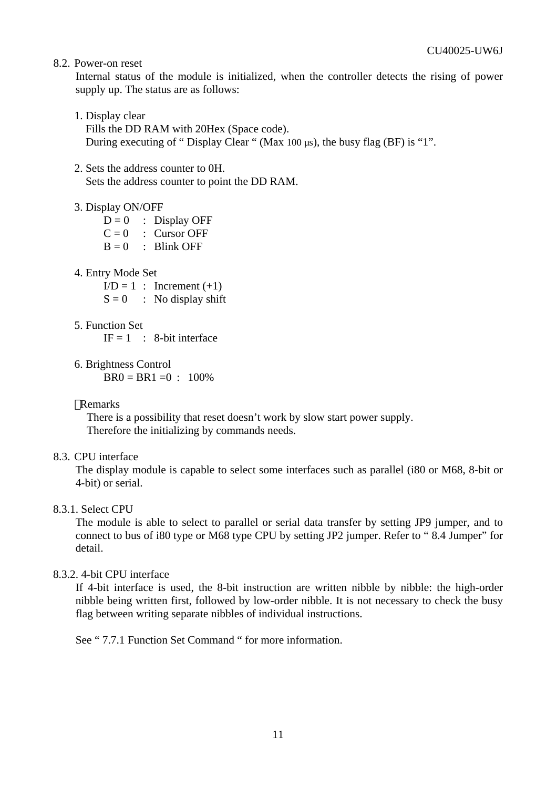8.2. Power-on reset

Internal status of the module is initialized, when the controller detects the rising of power supply up. The status are as follows:

- 1. Display clear Fills the DD RAM with 20Hex (Space code). During executing of " Display Clear " (Max 100 µs), the busy flag (BF) is "1".
- 2. Sets the address counter to 0H. Sets the address counter to point the DD RAM.

#### 3. Display ON/OFF

 $D = 0$  : Display OFF  $C = 0$  : Cursor OFF  $B = 0$  : Blink OFF

4. Entry Mode Set

 $I/D = 1$  : Increment  $(+1)$  $S = 0$  : No display shift

- 5. Function Set  $IF = 1$  : 8-bit interface
- 6. Brightness Control  $BR0 = BR1 = 0$  : 100%

#### Remarks

There is a possibility that reset doesn't work by slow start power supply. Therefore the initializing by commands needs.

8.3. CPU interface

The display module is capable to select some interfaces such as parallel (i80 or M68, 8-bit or 4-bit) or serial.

#### 8.3.1. Select CPU

The module is able to select to parallel or serial data transfer by setting JP9 jumper, and to connect to bus of i80 type or M68 type CPU by setting JP2 jumper. Refer to " 8.4 Jumper" for detail.

#### 8.3.2. 4-bit CPU interface

If 4-bit interface is used, the 8-bit instruction are written nibble by nibble: the high-order nibble being written first, followed by low-order nibble. It is not necessary to check the busy flag between writing separate nibbles of individual instructions.

See " 7.7.1 Function Set Command " for more information.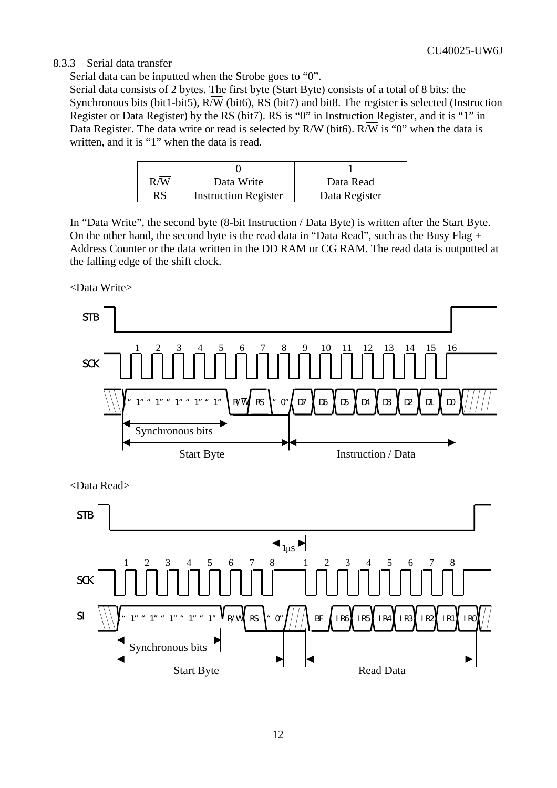#### 8.3.3 Serial data transfer

Serial data can be inputted when the Strobe goes to "0".

Serial data consists of 2 bytes. The first byte (Start Byte) consists of a total of 8 bits: the Synchronous bits (bit1-bit5),  $R/\overline{W}$  (bit6), RS (bit7) and bit8. The register is selected (Instruction Register or Data Register) by the RS (bit7). RS is "0" in Instruction Register, and it is "1" in Data Register. The data write or read is selected by R/W (bit6).  $R/\overline{W}$  is "0" when the data is written, and it is "1" when the data is read.

|    | Data Write                  | Data Read     |
|----|-----------------------------|---------------|
| RS | <b>Instruction Register</b> | Data Register |

In "Data Write", the second byte (8-bit Instruction / Data Byte) is written after the Start Byte. On the other hand, the second byte is the read data in "Data Read", such as the Busy Flag + Address Counter or the data written in the DD RAM or CG RAM. The read data is outputted at the falling edge of the shift clock.

<Data Write>

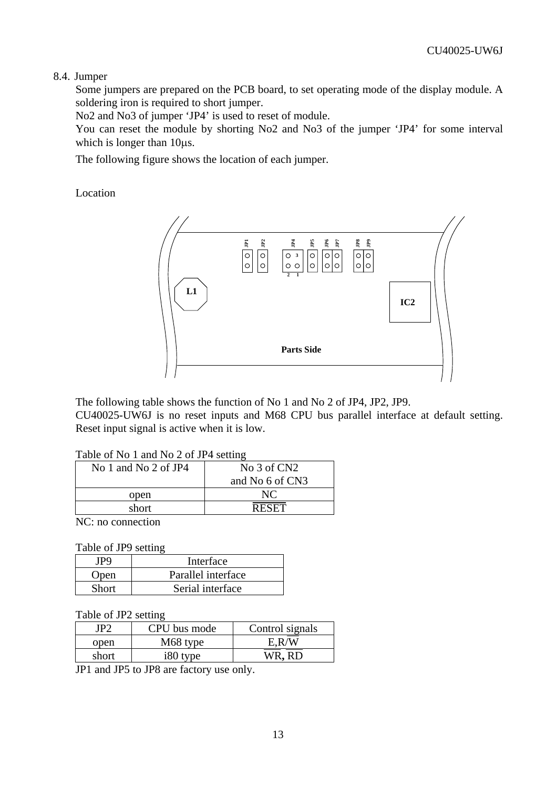#### 8.4. Jumper

Some jumpers are prepared on the PCB board, to set operating mode of the display module. A soldering iron is required to short jumper.

No2 and No3 of jumper 'JP4' is used to reset of module.

You can reset the module by shorting No2 and No3 of the jumper 'JP4' for some interval which is longer than 10 $\mu$ s.

The following figure shows the location of each jumper.

Location



The following table shows the function of No 1 and No 2 of JP4, JP2, JP9. CU40025-UW6J is no reset inputs and M68 CPU bus parallel interface at default setting. Reset input signal is active when it is low.

#### Table of No 1 and No 2 of JP4 setting

| No 1 and No 2 of JP4 | No $3$ of CN2   |
|----------------------|-----------------|
|                      | and No 6 of CN3 |
| open                 | NC              |
| short                | <b>RESET</b>    |
|                      |                 |

NC: no connection

Table of JP9 setting

|              | Interface          |
|--------------|--------------------|
| Open         | Parallel interface |
| <b>Short</b> | Serial interface   |

Table of JP2 setting

| JP2.  | CPU bus mode | Control signals |
|-------|--------------|-----------------|
| open  | M68 type     | E R/W           |
| short | i80 type     | WR. RD          |

JP1 and JP5 to JP8 are factory use only.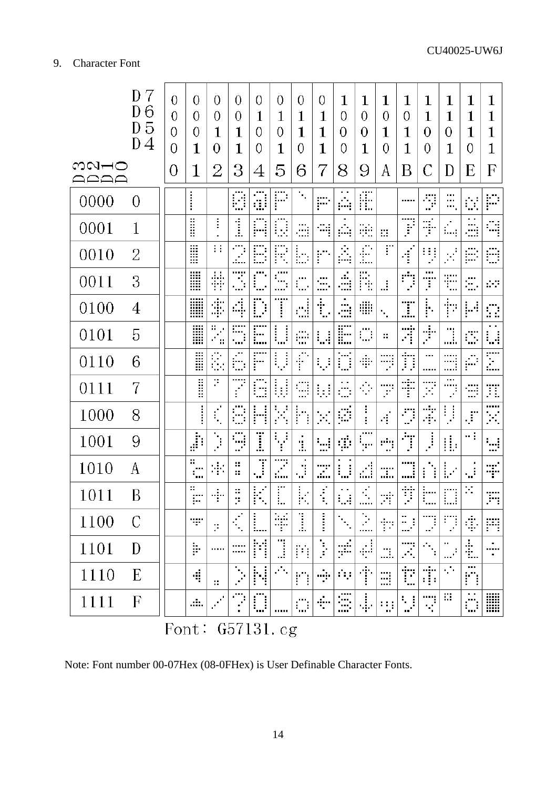|              | D<br>7<br>D <sub>6</sub><br>D <sub>5</sub><br>$\mathbf{D}$<br>$\overline{4}$ | $\theta$<br>$\overline{0}$<br>$\overline{0}$<br>0 | 0<br>0<br>$\theta$<br>$\mathbf 1$       | 0<br>0<br>1<br>0            | 0<br>0<br>1<br>$\mathbf 1$  | 0<br>1<br>0<br>0 | 0<br>$\mathbf 1$<br>0<br>$\mathbf 1$ | 0<br>$\mathbf 1$<br>$\mathbf{1}$<br>$\overline{0}$ | 0<br>1<br>1<br>1            | $\mathbf{1}$<br>0<br>0<br>0    | 1<br>0<br>0<br>1                                                                                                         | $\mathbf 1$<br>0<br>1<br>0  | 1<br>0<br>$\mathbf 1$<br>$\mathbf 1$ | $\mathbf 1$<br>$\mathbf 1$<br>0<br>0      | $\mathbf{1}$<br>$\mathbf{1}$<br>0<br>$\mathbf{1}$ | 1<br>$\mathbf 1$<br>$\mathbf 1$<br>0             | 1<br>$\mathbf 1$<br>1<br>1      |
|--------------|------------------------------------------------------------------------------|---------------------------------------------------|-----------------------------------------|-----------------------------|-----------------------------|------------------|--------------------------------------|----------------------------------------------------|-----------------------------|--------------------------------|--------------------------------------------------------------------------------------------------------------------------|-----------------------------|--------------------------------------|-------------------------------------------|---------------------------------------------------|--------------------------------------------------|---------------------------------|
| ಐ೧⊢೦<br>AAAA |                                                                              | $\theta$                                          | 1                                       | $\overline{2}$              | 3                           | 4                | 5                                    | 6                                                  | 7                           | 8                              | 9                                                                                                                        | Α                           | Β                                    | C                                         | D                                                 | Е                                                | F                               |
| 0000         | 0                                                                            |                                                   | $\ddot{}}$                              |                             | Ø                           | a                | P                                    | $\mathcal{L}_{\mathcal{A}}$                        | $\mathbb{Z}^2$              | ļ.                             | Æ                                                                                                                        |                             |                                      | Ð                                         | <br>$\cdots$<br>₩,                                | $\mathcal{C}^{\mathcal{C}}$                      | P                               |
| 0001         | 1                                                                            |                                                   | li                                      | i                           | j                           | A                | O,                                   | <br>÷.                                             | $\mathbb{Z}^n_2$            | ļ.                             | Ξ.                                                                                                                       | 靈                           | <br>f.                               | $\frac{1}{\sqrt{2}}$                      | ίщ.                                               | $\ddot{\phantom{1}}$<br>Ð,                       | Ą                               |
| 0010         | 2                                                                            |                                                   | Ä                                       | Ħ                           | $\mathcal{F}$               | E                | R                                    | b.                                                 | P)                          | j.                             | Ē                                                                                                                        | r                           | $\frac{1}{2}$                        | H.                                        | $\frac{1}{2}$                                     | B                                                | Ð                               |
| 0011         | 3                                                                            |                                                   | l                                       | ÷                           | Ĩ,                          | $\mathbb{Z}^2$   | ,,,,,<br>$\mathbb{Z}^2$              | $\mathbb{I}_{\mathbb{Z}^2}$                        | $\mathbb{R}^2$              | л.<br>ωł                       | R                                                                                                                        | J.                          | Ŷ                                    | <br>Ŧ                                     | Ð                                                 | $\mathcal{L}_{\mathcal{L}}$                      | $\sim 10$                       |
| 0100         | $\overline{4}$                                                               |                                                   | I                                       | \$                          | $\frac{1}{\sqrt{3}}$        | Ī<br>Ì,          | T                                    | d                                                  | Æ,                          | $\blacksquare$<br><br>Æ.       | ∰                                                                                                                        | $\mathcal{L}_{\mathcal{A}}$ | I                                    | ļ.                                        | ħ                                                 | H                                                | $\mathcal{C}$                   |
| 0101         | 5                                                                            |                                                   | W                                       | $\mathcal{L}_{\mathcal{A}}$ |                             |                  | U                                    | $\frac{1}{2}$                                      | $\mathbb{Z}^2$              | E                              | $\mathcal{C}$                                                                                                            | ×                           | T)                                   | ÷.                                        | j.                                                | Ű,                                               | t.                              |
| 0110         | 6                                                                            |                                                   | lii                                     | Ø,                          | $\mathbb{Z}^2$              | 'n               | Ų                                    | Ê,                                                 | t, t                        | Ö                              | ÷                                                                                                                        | тÿ,                         | Ď                                    | <br>                                      | ₩                                                 | Ø                                                | I                               |
| 0111         | 7                                                                            |                                                   | l                                       | ÷,                          |                             | <br>m            | b)                                   | 9                                                  | b.                          | $\mathcal{L}_{\mathcal{A}}$    | $\mathcal{L}_{\mathcal{A}}$                                                                                              | ,<br>÷.                     | Ť                                    | F.                                        | $\cdots$<br>ņ                                     | Ŧ                                                | Ŧ.                              |
| 1000         | 8                                                                            |                                                   |                                         | $\mathbf{r}$                | S                           | ł<br>ł           | у.<br>П                              | ŀ<br>٠.<br>Ì                                       | $\mathcal{L}_{\mathcal{A}}$ | Ø                              | ŧ<br>ŧ                                                                                                                   | г,                          | ņ                                    | ŧ                                         |                                                   | $\tilde{\mathcal{J}}$                            | <br>$\mathcal{L}_{\mathcal{A}}$ |
| 1001         | 9                                                                            |                                                   | J)                                      | Ī                           | : إ<br>P,                   | I                | Т,                                   | ٠<br>d.                                            | $\mathbb{Z}^2$              | $\langle \vec{p} \rangle$      | $\begin{array}{c} \begin{array}{c} \begin{array}{c} \end{array} \\ \begin{array}{c} \end{array} \end{array} \end{array}$ | ÷.                          | Ţ                                    |                                           | Ŵ,                                                | нţ                                               | $\mathbb{Z}^2$                  |
| 1010         | А                                                                            |                                                   | ÷.<br>$\cdots$<br>$\epsilon_{\rm{eff}}$ | 43                          | ∷<br>8                      | Ī                | <br><b>:</b>                         | $\mathbb{R}^3$                                     | Z                           | $\mathbb{Z}^2$                 | г.,                                                                                                                      | <br>                        | 3                                    | i                                         | Þ                                                 | $\mathcal{L}$                                    | ą.                              |
| 1011         | В                                                                            |                                                   | 8<br>$\cdots$<br>٠                      | ą.                          | ×<br>×.<br>$\blacksquare$   | ŀ.<br>٠<br>٠     | :<br>÷.,                             | Ļ,<br>г.<br>٠                                      | $\frac{1}{2}$               | $\sim$ $\alpha$<br>ŧ.<br>÷<br> | $\mathcal{A}_\mathbf{r}$<br>                                                                                             | ÷<br>×,<br>÷                | Ÿ<br>٠                               | ŀ<br>$\cdots$                             | n<br>ŧ<br>                                        | Þ.                                               | W<br>÷<br>٠                     |
| 1100         | $\mathcal{C}_{0}^{0}$                                                        |                                                   | nger<br>Stand                           | ×                           | $\mathcal{C}$               |                  | ¥                                    | l                                                  | i                           |                                | $\mathcal{L}_{\mathcal{A}}$<br>                                                                                          | Ť                           | <br>m, F                             | a)                                        | J.                                                | 4,                                               | W                               |
| 1101         | D                                                                            |                                                   | Þ                                       |                             | <br>                        | t                | J                                    | P)                                                 | i.<br>F                     | ÷                              | $\frac{1}{\sqrt{2}}$                                                                                                     | Ш.                          | P)                                   | $\mathcal{P}_{\mathcal{M}_{\mathcal{D}}}$ | .,<br>$\blacksquare$<br>                          | ti.                                              | ٠<br><br>$\blacksquare$         |
| 1110         | E                                                                            |                                                   | 4                                       | и,                          | $\mathcal{L}_{\mathcal{A}}$ | N                | $\mathcal{L}_{\mathcal{A}}$          | F)                                                 | ÷,                          | 111                            | Ť                                                                                                                        | B                           | È                                    | Ť                                         | $\mathcal{L}_{\mathcal{A}}$                       | $\cdots$<br>٣                                    |                                 |
| 1111         | $\overline{F}$                                                               |                                                   | Ш.                                      |                             |                             | ļ<br>            |                                      | $\overline{\mathbb{Z}}$                            | ٠<br>÷                      | 羃<br>                          | 4                                                                                                                        | 19                          | $\mathcal{L}$<br>                    | Ŧ                                         | Ø.                                                | $\sim$ $\sim$<br>$\mathcal{L}_{\mathcal{A}}$<br> | I                               |

Font: G57131.cg

Note: Font number 00-07Hex (08-0FHex) is User Definable Character Fonts.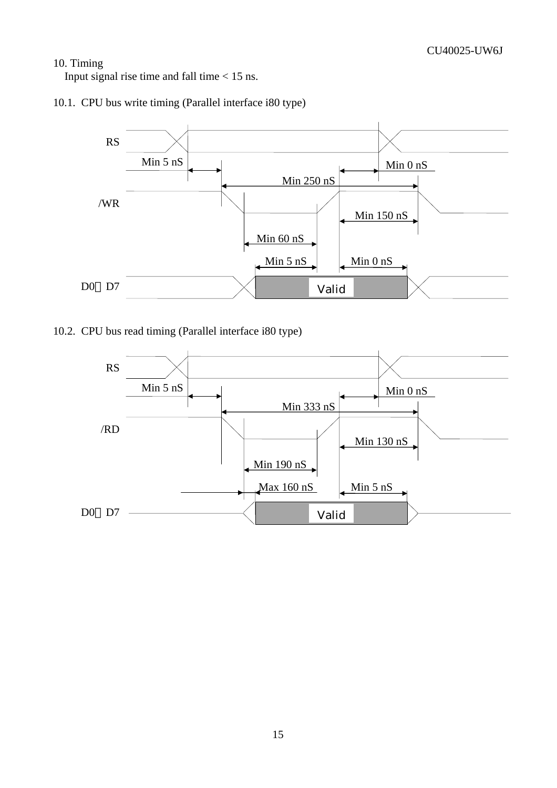#### 10. Timing

Input signal rise time and fall time  $< 15$  ns.





10.2. CPU bus read timing (Parallel interface i80 type)

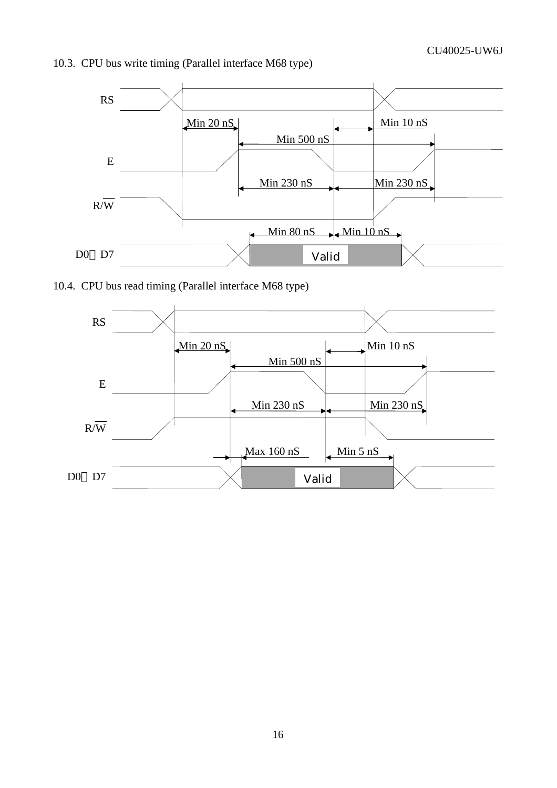



10.4. CPU bus read timing (Parallel interface M68 type)

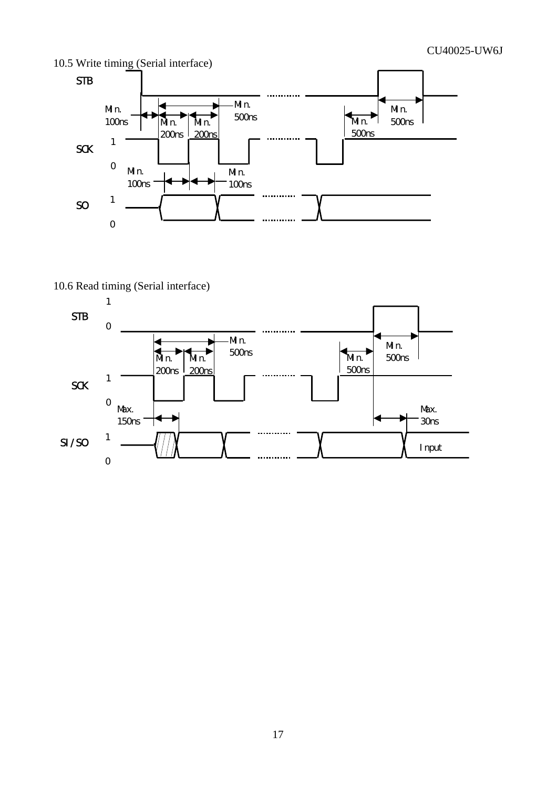

### 10.6 Read timing (Serial interface)

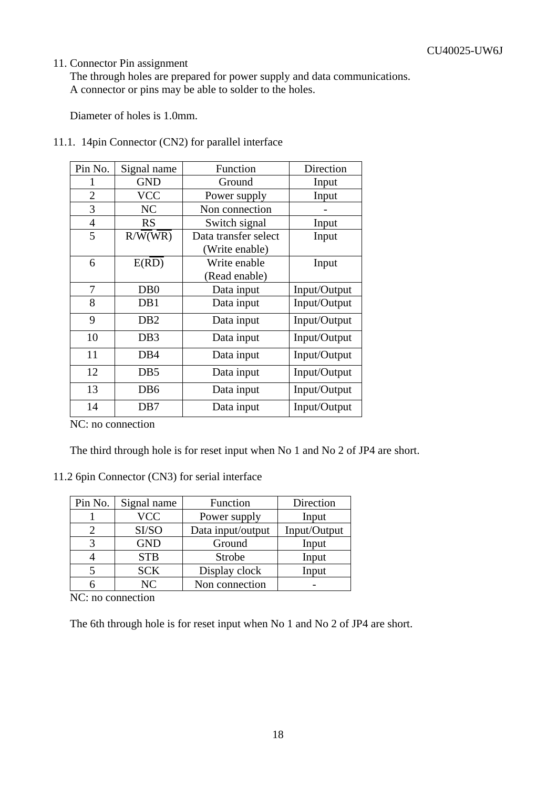#### 11. Connector Pin assignment

The through holes are prepared for power supply and data communications. A connector or pins may be able to solder to the holes.

Diameter of holes is 1.0mm.

| Pin No.        | Signal name      | Function             | Direction    |
|----------------|------------------|----------------------|--------------|
| 1              | <b>GND</b>       | Ground               | Input        |
| $\overline{2}$ | <b>VCC</b>       | Power supply         | Input        |
| 3              | NC               | Non connection       |              |
| $\overline{4}$ | <b>RS</b>        | Switch signal        | Input        |
| 5              | R/W(WR)          | Data transfer select | Input        |
|                |                  | (Write enable)       |              |
| 6              | E(RD)            | Write enable         | Input        |
|                |                  | (Read enable)        |              |
| 7              | D <sub>B</sub> 0 | Data input           | Input/Output |
| 8              | DB1              | Data input           | Input/Output |
| 9              | D <sub>B2</sub>  | Data input           | Input/Output |
| 10             | DB <sub>3</sub>  | Data input           | Input/Output |
| 11             | DB <sub>4</sub>  | Data input           | Input/Output |
| 12             | D <sub>B5</sub>  | Data input           | Input/Output |
| 13             | D <sub>B6</sub>  | Data input           | Input/Output |
| 14             | D <sub>B</sub> 7 | Data input           | Input/Output |

11.1. 14pin Connector (CN2) for parallel interface

NC: no connection

The third through hole is for reset input when No 1 and No 2 of JP4 are short.

#### 11.2 6pin Connector (CN3) for serial interface

| Pin No. | Signal name | Function          | Direction    |
|---------|-------------|-------------------|--------------|
|         | <b>VCC</b>  | Power supply      | Input        |
|         | SI/SO       | Data input/output | Input/Output |
|         | <b>GND</b>  | Ground            | Input        |
|         | <b>STB</b>  | Strobe            | Input        |
|         | <b>SCK</b>  | Display clock     | Input        |
|         | NC          | Non connection    |              |

NC: no connection

The 6th through hole is for reset input when No 1 and No 2 of JP4 are short.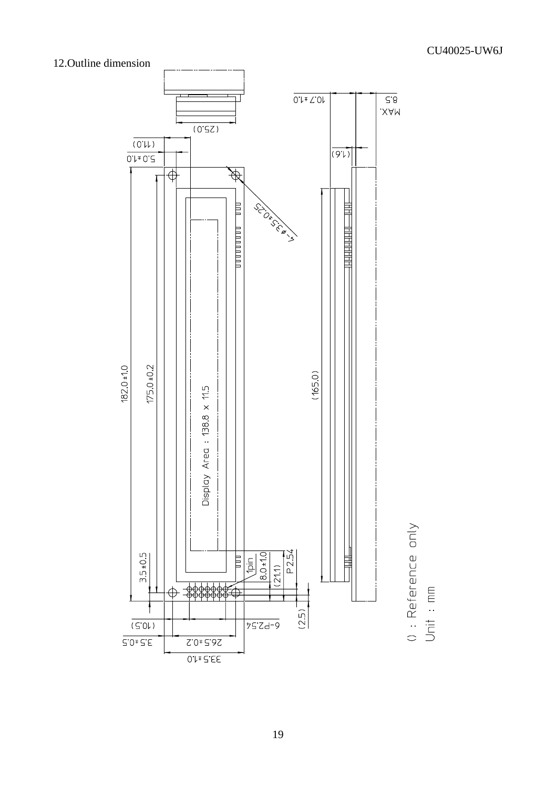